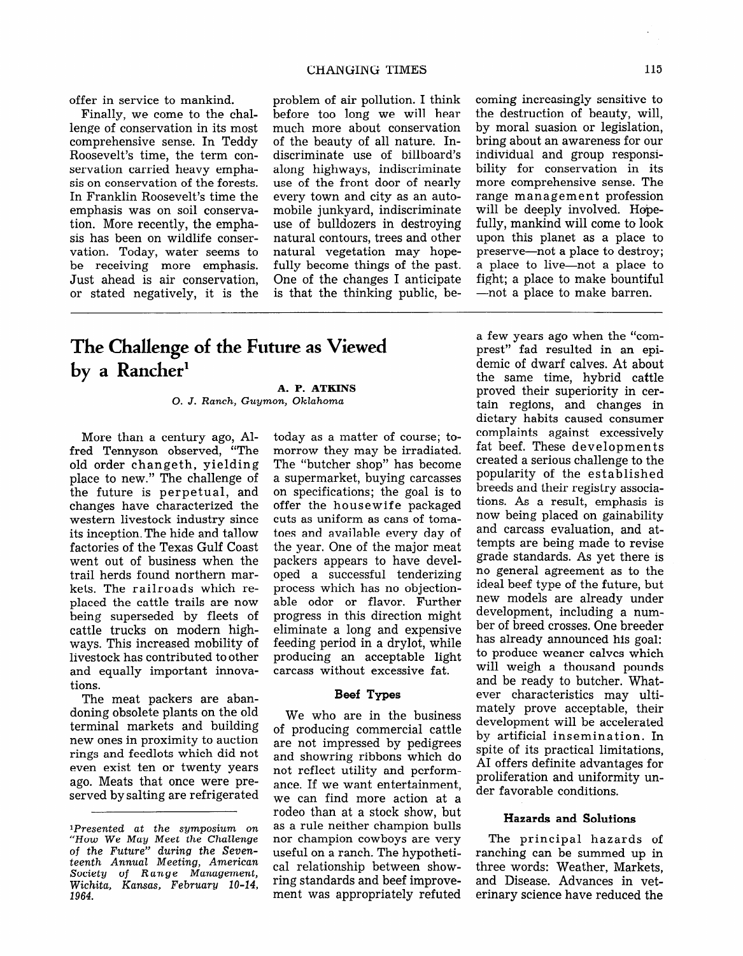# **The Challenge of the Future as Viewed**  by a Rancher<sup>1</sup>

**A. P. ATKINS 0.** *J. Ranch, Guymon, Oklahoma* 

More than a century ago, Alfred Tennyson observed, "The old order changeth, yielding place to new." The challenge of the future is perpetual, and changes have characterized the western livestock industry since western investors industry since  $f_{\text{eff}}$  factories of the Texas Gulf Coast Coast Coast Coast Coast Coast Coast Coast Coast Coast Coast Coast Coast Coast Coast Coast Coast Coast Coast Coast Coast Coast Coast Coast Coast Coast Coast Coast Coast Coast Coa factories of the Texas Gulf Coast went out of business when the trail herds found northern markets. The railroads which replaced the cattle trails are now being superseded by fleets of cattle trucks on modern highways. This increased mobility of livestock has contributed to other and equally important innova-<br>tions. The meat packers are aban-

The meat packers are abandoning obsolete plants on the old terminal markets and building new ones in proximity to auction rings and feedlots which did not even exist ten or twenty years ago. Meats that once were pre-<br>served by salting are refrigerated

<sup>1</sup>Presented at the symposium on "How We May Meet the Challenge of the Future" during the Seven*teenth Annual Meeting, American Society* of Range Management, Wichita. Kansas. February 10-14. 1964.

*IPresented at the symposium on* 

today as a matter of course; tomorrow they may be irradiated. The "butcher shop" has become a supermarket, buying carcasses on specifications; the goal is to offer the housewife packaged oner the housewire package  $\frac{1}{1}$  can available events of  $\frac{1}{1}$ the *did available* every day on the year. One of the major meat packers appears to have developed a successful tenderizing process which has no objectionable odor or flavor. Further progress in this direction might eliminate a long and expensive feeding period in a drylot, while producing an acceptable light<br>carcass without excessive fat.

### Beef Types

We who are in the business that the business We who are in the business of producing commercial cattle are not impressed by pedigrees and showring ribbons which do not reflect utility and performance. If we want entertainment. we can find more action at a rodeo than at a stock show, but as a rule neither champion bulls nor champion cowboys are very useful on a ranch. The hypothetical relationship between showring standards and beef improvement was appropriately refuted

a few years ago when the "comprest" fad resulted in an epidemic of dwarf calves. At about the same time, hybrid cattle proved their superiority in certain regions, and changes in dietary habits caused consumer complaints against excessively fat beef. These developments created a serious challenge to the popularity of the established to populatily of the established breeds and their registry associa-<br>tions. As a result, emphasis is  $\frac{1}{1}$   $\frac{1}{1}$   $\frac{1}{1}$   $\frac{1}{1}$   $\frac{1}{1}$   $\frac{1}{1}$ now being placed on gamability and carcass evaluation, and attempts are being made to revise grade standards. As yet there is no general agreement as to the ideal beef type of the future, but new models are already under development, including a number of breed crosses. One breeder has already announced his goal: to produce weaner calves which will weigh a thousand pounds and be ready to butcher. Whatever characteristics may ultimately prove acceptable, their development will be accelerated by artificial insemination. In spite of its practical limitations. AI offers definite advantages for proliferation and uniformity under favorable conditions.

## $T = T$

The principal hazards of ranching can be summed up in three words: Weather, Markets. and Disease. Advances in veterinary science have reduced the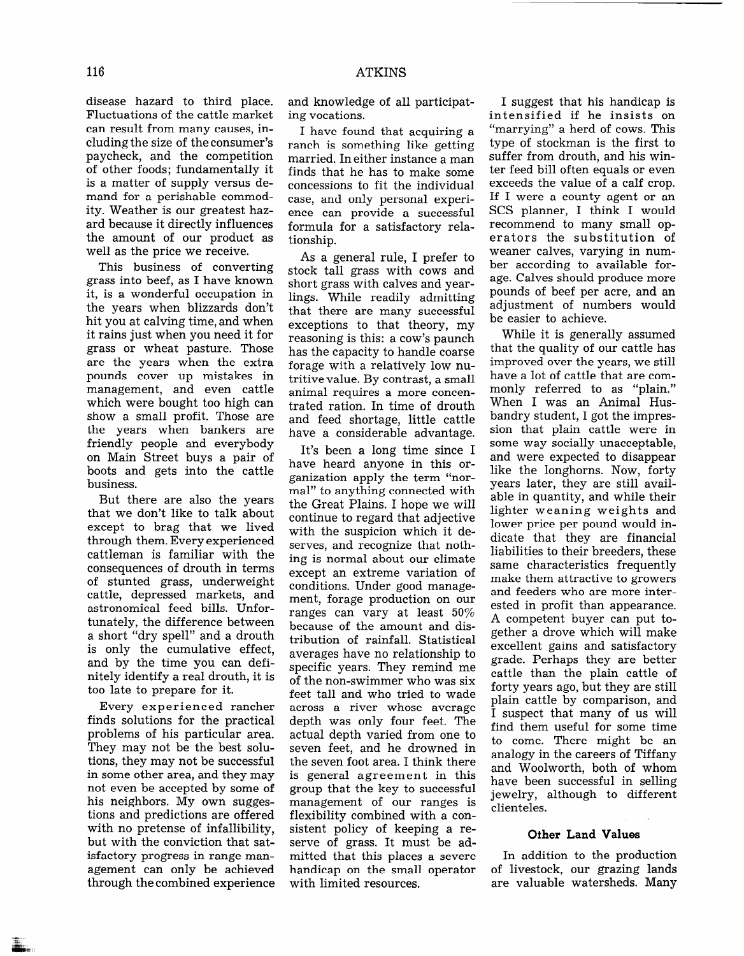disease hazard to third place. Fluctuations of the cattle market can result from many causes, including the size of the consumer's paycheck, and the competition of other foods; fundamentally it is a matter of supply versus demand for a perishable commodity. Weather is our greatest hazard because it directly influences the amount of our product as well as the price we receive.

This business of converting grass into beef, as I have known it, is a wonderful occupation in the years when blizzards don't hit you at calving time, and when it rains just when you need it for grass or wheat pasture. Those are the years when the extra pounds cover up mistakes in management, and even cattle which were bought too high can show a small profit. Those are the years when bankers are friendly people and everybody on Main Street buys a pair of boots and gets into the cattle business.

But there are also the years that we don't like to talk about except to brag that we lived through them. Every experienced cattleman is familiar with the consequences of drouth in terms of stunted grass, underweight cattle, depressed markets, and astronomical feed bills. Unfortunately, the difference between a short "dry spell" and a drouth is only the cumulative effect, and by the time you can definitely identify a real drouth, it is too late to prepare for it.

Every experienced rancher finds solutions for the practical problems of his particular area. They may not be the best solutions, they may not be successful in some other area, and they may not even be accepted by some of his neighbors. My own suggestions and predictions are offered with no pretense of infallibility, but with the conviction that satisfactory progress in range management can only be achieved through the combined experience

and knowledge of all participating vocations.

I have found that acquiring a ranch is something like getting married. In either instance a man finds that he has to make some concessions to fit the individual case, and only personal experience can provide a successful formula for a satisfactory relationship.

As a general rule, I prefer to stock tall grass with cows and short grass with calves and yearlings. While readily admitting that there are many successful exceptions to that theory, my reasoning is this: a cow's paunch has the capacity to handle coarse forage with a relatively low nutritivevalue. By contrast, a small animal requires a more concentrated ration. In time of drouth and feed shortage, little cattle have a considerable advantage.

It's been a long time since I have heard anyone in this organization apply the term "normal" to anything connected with the Great Plains. I hope we will continue to regard that adjective with the suspicion which it deserves, and recognize that nothing is normal about our climate except an extreme variation of conditions. Under good management, forage production on our ranges can vary at least 50% because of the amount and distribution of rainfall. Statistical averages have no relationship to specific years. They remind me of the non-swimmer who was six feet tall and who tried to wade across a river whose average depth was only four feet. The actual depth varied from one to seven feet, and he drowned in the seven foot area. I think there is general agreement in this group that the key to successful management of our ranges is flexibility combined with a consistent policy of keeping a reserve of grass. It must be admitted that this places a severe handicap on the small operator with limited resources.

I suggest that his handicap is intensified if he insists on "marrying" a herd of cows. This type of stockman is the first to suffer from drouth, and his winter feed bill often equals or even exceeds the value of a calf crop. If I were a county agent or an SCS planner, I think I would recommend to many small operators the substitution of weaner calves, varying in number according to available forage. Calves should produce more pounds of beef per acre, and an adjustment of numbers would be easier to achieve.

While it is generally assumed that the quality of our cattle has improved over the years, we still have a lot of cattle that are commonly referred to as "plain." When I was an Animal Husbandry student, I got the impression that plain cattle were in some way socially unacceptable, and were expected to disappear like the longhorns. Now, forty years later, they are still available in quantity, and while their lighter weaning weights and lower price per pound would indicate that they are financial liabilities to their breeders, these same characteristics frequently make them attractive to growers and feeders who are more interested in profit than appearance. A competent buyer can put together a drove which will make excellent gains and satisfactory grade. Perhaps they are better cattle than the plain cattle of forty years ago, but they are still plain cattle by comparison, and I suspect that many of us will find them useful for some time to come. There might be an analogy in the careers of Tiffany and Woolworth, both of whom have been successful in selling jewelry, although to different clienteles.

#### Other Land **Values**

In addition to the production of livestock, our grazing lands are valuable watersheds. Many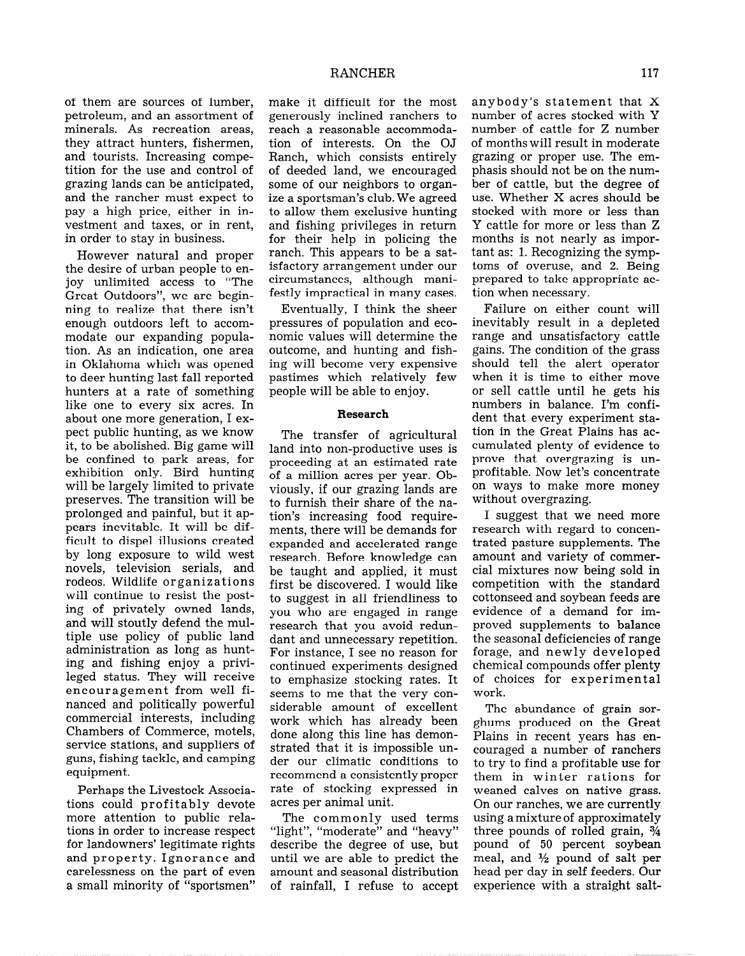of them are sources of lumber, petroleum, and an assortment of minerals. As recreation areas, they attract hunters, fishermen, and tourists. Increasing competition for the use and control of grazing lands can be anticipated, and the rancher must expect to pay a high price, either in investment and taxes, or in rent, in order to stay in business.

However natural and proper the desire of urban people to enjoy unlimited access to "The Great Outdoors", we are beginning to realize that there isn't enough outdoors left to accommodate our expanding population. As an indication, one area in Oklahoma which was opened to deer hunting last fall reported hunters at a rate of something like one to every six acres. In about one more generation, I expect public hunting, as we know it, to be abolished. Big game will be confined to park areas, for exhibition only. Bird hunting will be largely limited to private preserves. The transition will be prolonged and painful, but it appears inevitable. It will be difficult to dispel illusions created by long exposure to wild west novels, television serials, and rodeos. Wildlife organizations will continue to resist the posting of privately owned lands, and will stoutly defend the multiple use policy of public land administration as long as hunting and fishing enjoy a privileged status. They will receive encouragement from well financed and politically powerful commercial interests, including Chambers of Commerce, motels, service stations, and suppliers of guns, fishing tackle, and camping equipment.

Perhaps the Livestock Associations could profitably devote more attention to public relations in order to increase respect for landowners' legitimate rights and property. Ignorance and carelessness on the part of even a small minority of "sportsmen"

make it difficult for the most generously inclined ranchers to reach a reasonable accommodation of interests. On the OJ Ranch, which consists entirely of deeded land, we encouraged some of our neighbors to organize a sportsman's club. We agreed to allow them exclusive hunting and fishing privileges in return for their help in policing the ranch. This appears to be a satisfactory arrangement under our circumstances, although manifestly impractical in many cases.

Eventually, I think the sheer pressures of population and economic values will determine the outcome, and hunting and fishing will become very expensive pastimes which relatively few people will be able to enjoy.

#### **Research**

The transfer of agricultural land into non-productive uses is proceeding at an estimated rate of a million acres per year. Obviously, if our grazing lands are to furnish their share of the nation's increasing food requirements, there will be demands for expanded and accelerated range research. Before knowledge can be taught and applied, it must first be discovered. I would like to suggest in all friendliness to you who are engaged in range research that you avoid redundant and unnecessary repetition. For instance, I see no reason for continued experiments designed to emphasize stocking rates. It seems to me that the very considerable amount of excellent work which has already been done along this line has demonstrated that it is impossible under our climatic conditions to recommend a consistently proper rate of stocking expressed in acres per animal unit.

The commonly used terms "light", "moderate" and "heavy" describe the degree of use, but until we are able to predict the amount and seasonal distribution of rainfall, I refuse to accept anybody's statement that X number of acres stocked with Y number of cattle for Z number of months will result in moderate grazing or proper use. The emphasis should not be on the number of cattle, but the degree of use. Whether X acres should be stocked with more or less than Y cattle for more or less than **Z**  months is not nearly as important as: 1. Recognizing the symptoms of overuse, and 2. Being prepared to take appropriate action when necessary.

Failure on either count will inevitably result in a depleted range and unsatisfactory cattle gains. The condition of the grass should tell the alert operator when it is time to either move or sell cattle until he gets his numbers in balance. I'm confident that every experiment station in the Great Plains has accumulated plenty of evidence to prove that overgrazing is unprofitable. Now let's concentrate on ways to make more money without overgrazing.

I suggest that we need more research with regard to concentrated pasture supplements. The amount and variety of commercial mixtures now being sold in competition with the standard cottonseed and soybean feeds are evidence of a demand for improved supplements to balance the seasonal deficiencies of range forage, and newly developed chemical compounds offer plenty of choices for experimental work.

The abundance of grain sorghums produced on the Great Plains in recent years has encouraged a number of ranchers to try to find a profitable use for them in winter rations for weaned calves on native grass. On our ranches, we are currently using a mixture of approximately three pounds of rolled grain, 3/4 pound of 50 percent soybean meal, and  $\frac{1}{2}$  pound of salt per head per day in self feeders. Our experience with a straight salt-